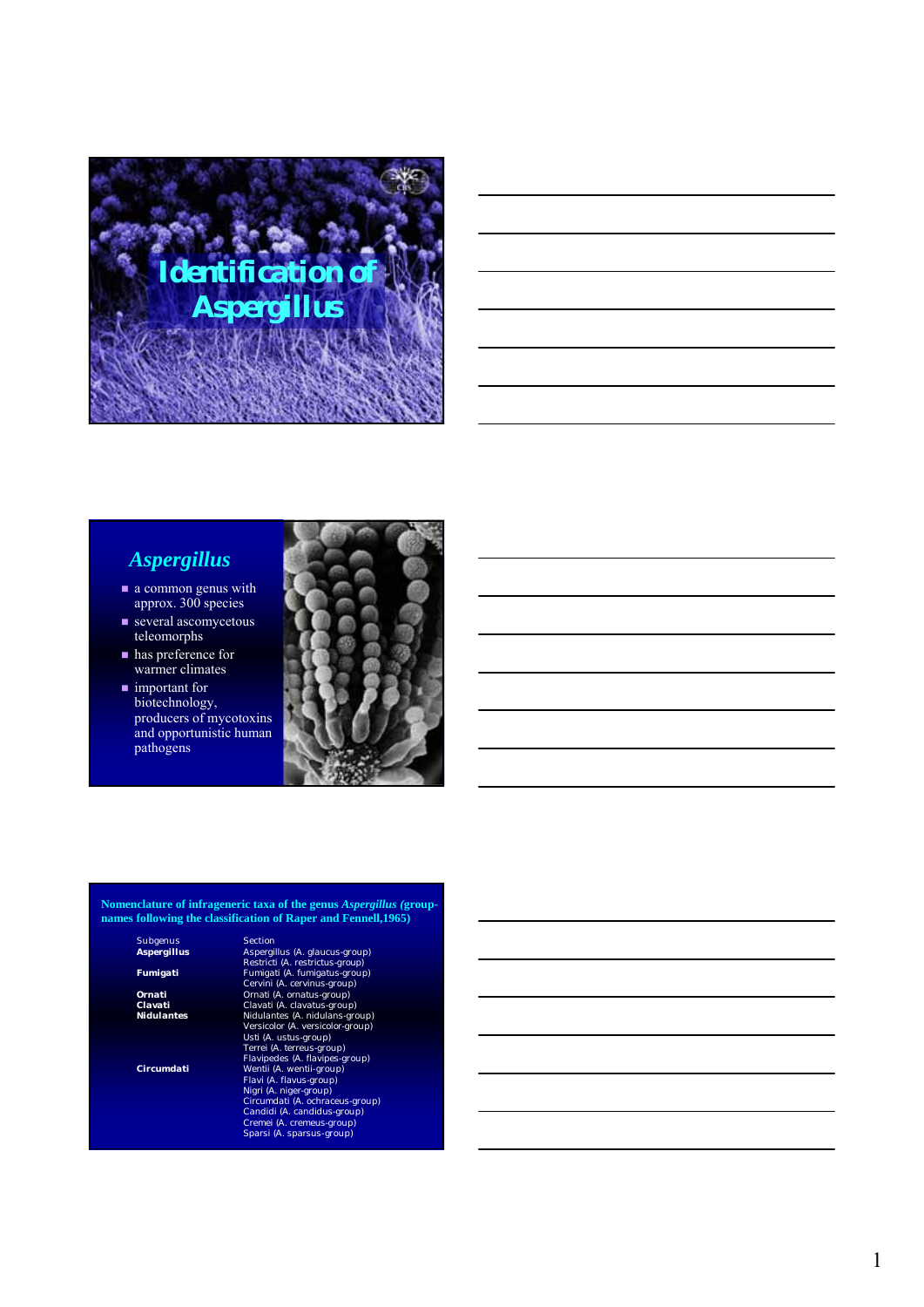

### *Aspergillus*

- a common genus with approx. 300 species
- several ascomycetous teleomorphs
- has preference for warmer climates
- **n** important for biotechnology, producers of mycotoxins and opportunistic human pathogens



#### **Nomenclature of infrageneric taxa of the genus** *Aspergillus (***groupnames following the classification of Raper and Fennell,1965)**

Subgenus Section<br> **Aspergillus** Aspergi

*Aspergillus* Aspergillus (A. glaucus-group)<br>
Restrict (A. restrict (A. restricts-group)<br>
Fumigati Fumigati (A. thingatus-group)<br>
Cervini (A. cervinus-group)<br>
Clavati (A. davatus-group)<br>
Clavati (A. davatus-group)<br>
Vidulan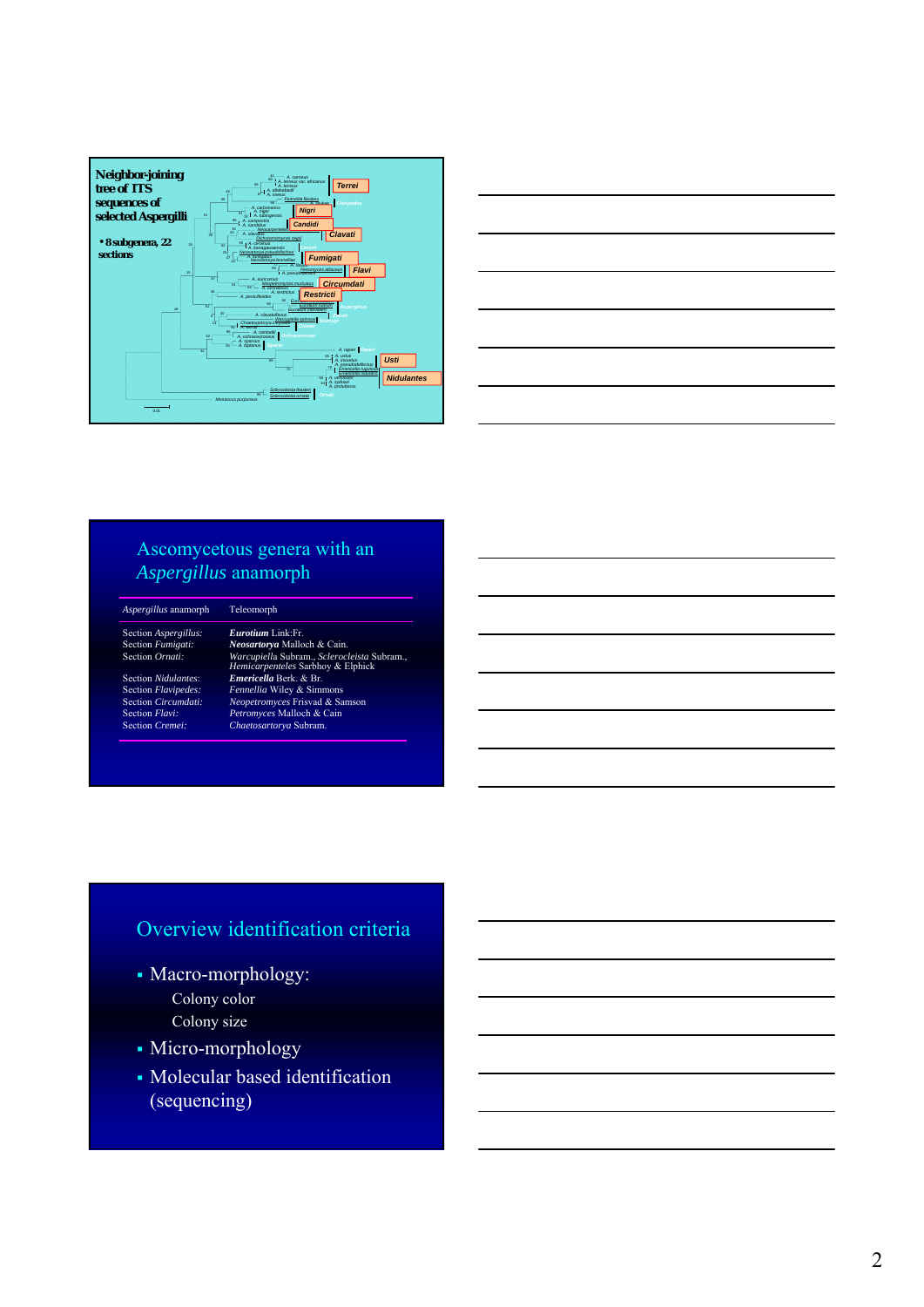



#### Ascomycetous genera with an *Aspergillus* anamorph

| Aspergillus anamorph | Teleomorph                                                                       |
|----------------------|----------------------------------------------------------------------------------|
| Section Aspergillus: | <i>Eurotium</i> Link Fr                                                          |
| Section Fumigati:    | Neosartorya Malloch & Cain.                                                      |
| Section Ornati:      | Warcupiella Subram., Sclerocleista Subram.,<br>Hemicarpenteles Sarbhoy & Elphick |
| Section Nidulantes   | Emericella Berk. & Br.                                                           |
| Section Flavipedes:  | Fennellia Wiley & Simmons                                                        |
| Section Circumdati:  | Neopetromyces Frisvad & Samson                                                   |
| Section Flavi:       | Petromyces Malloch & Cain                                                        |
| Section Cremei:      | Chaetosartorya Subram.                                                           |

## Overview identification criteria

- Macro-morphology: Colony color Colony size
- Micro-morphology
- Molecular based identification (sequencing)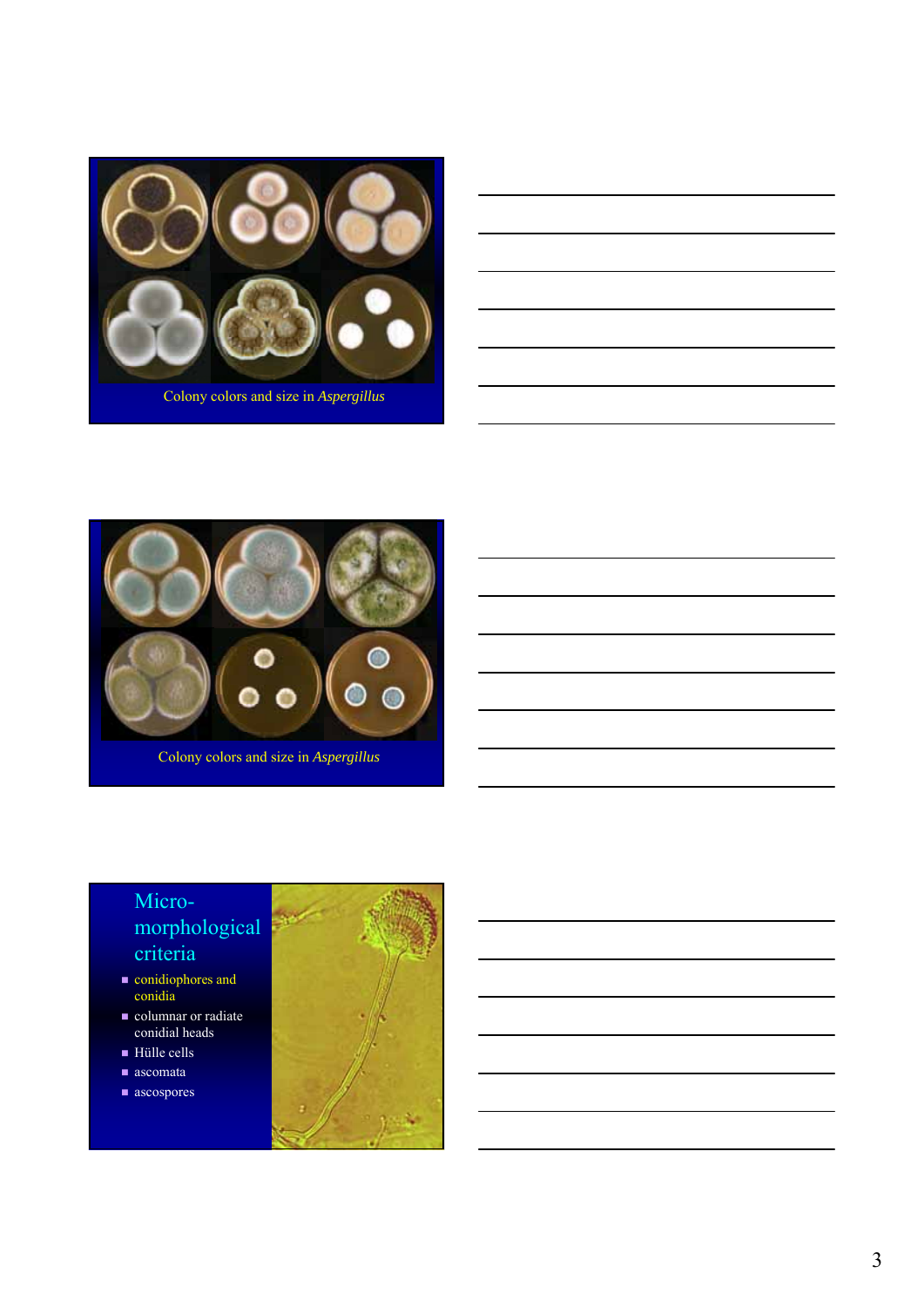

| <u>state of the contract of the contract of the contract of the contract of the contract of the contract of the contract of the contract of the contract of the contract of the contract of the contract of the contract of the </u> |  |  |  |
|--------------------------------------------------------------------------------------------------------------------------------------------------------------------------------------------------------------------------------------|--|--|--|
|                                                                                                                                                                                                                                      |  |  |  |
|                                                                                                                                                                                                                                      |  |  |  |
| <u> 1999 - Johann John Stone, markin sanadi amerikan bahasa dan berkembang di sebagai pengaran dan berkembang dan</u>                                                                                                                |  |  |  |
|                                                                                                                                                                                                                                      |  |  |  |
|                                                                                                                                                                                                                                      |  |  |  |
|                                                                                                                                                                                                                                      |  |  |  |
|                                                                                                                                                                                                                                      |  |  |  |



Colony colors and size in *Aspergillus*

- **conidiophores and** conidia
- columnar or radiate conidial heads
- Hülle cells
- ascomata
- ascospores

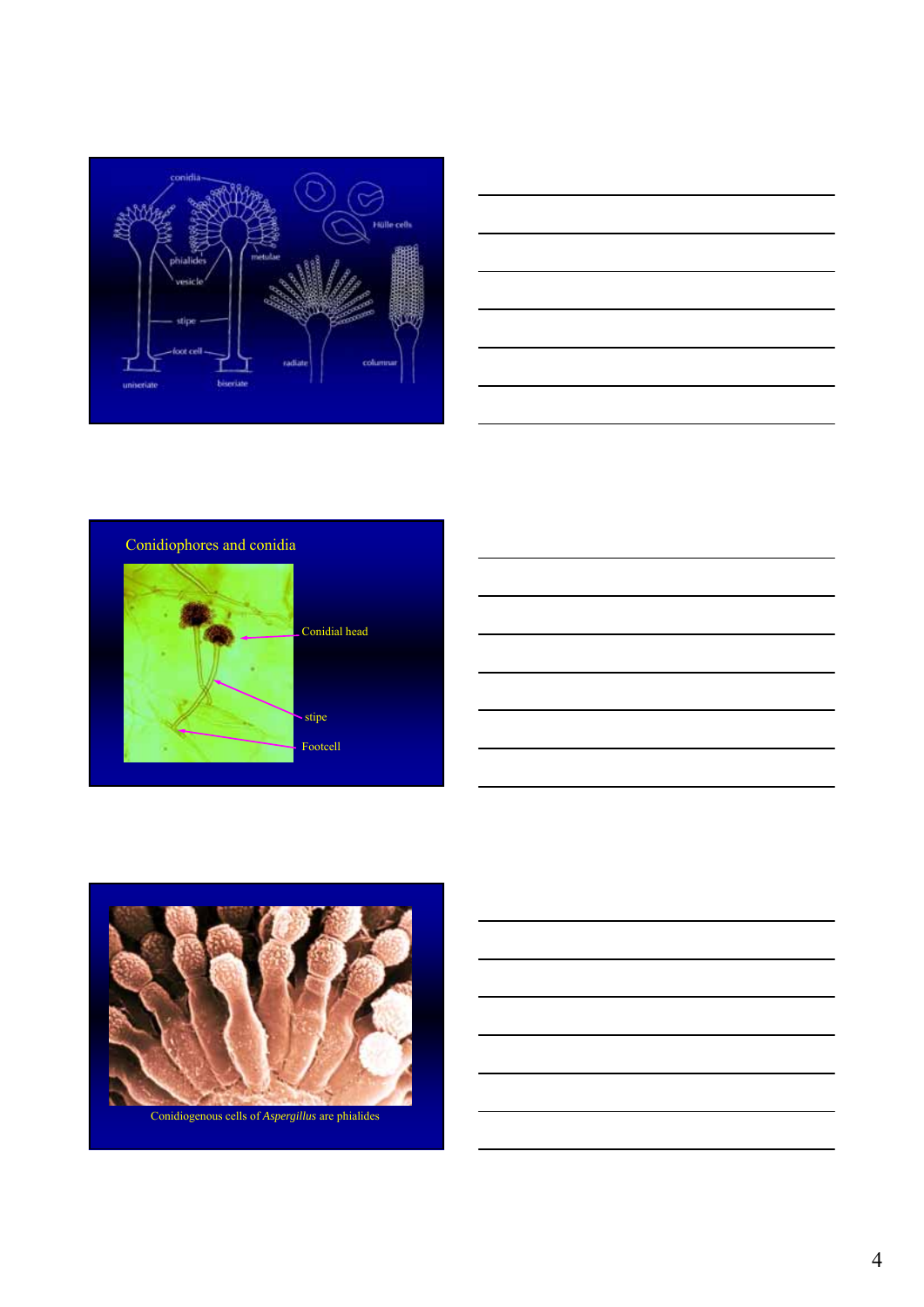



#### Conidiophores and conidia





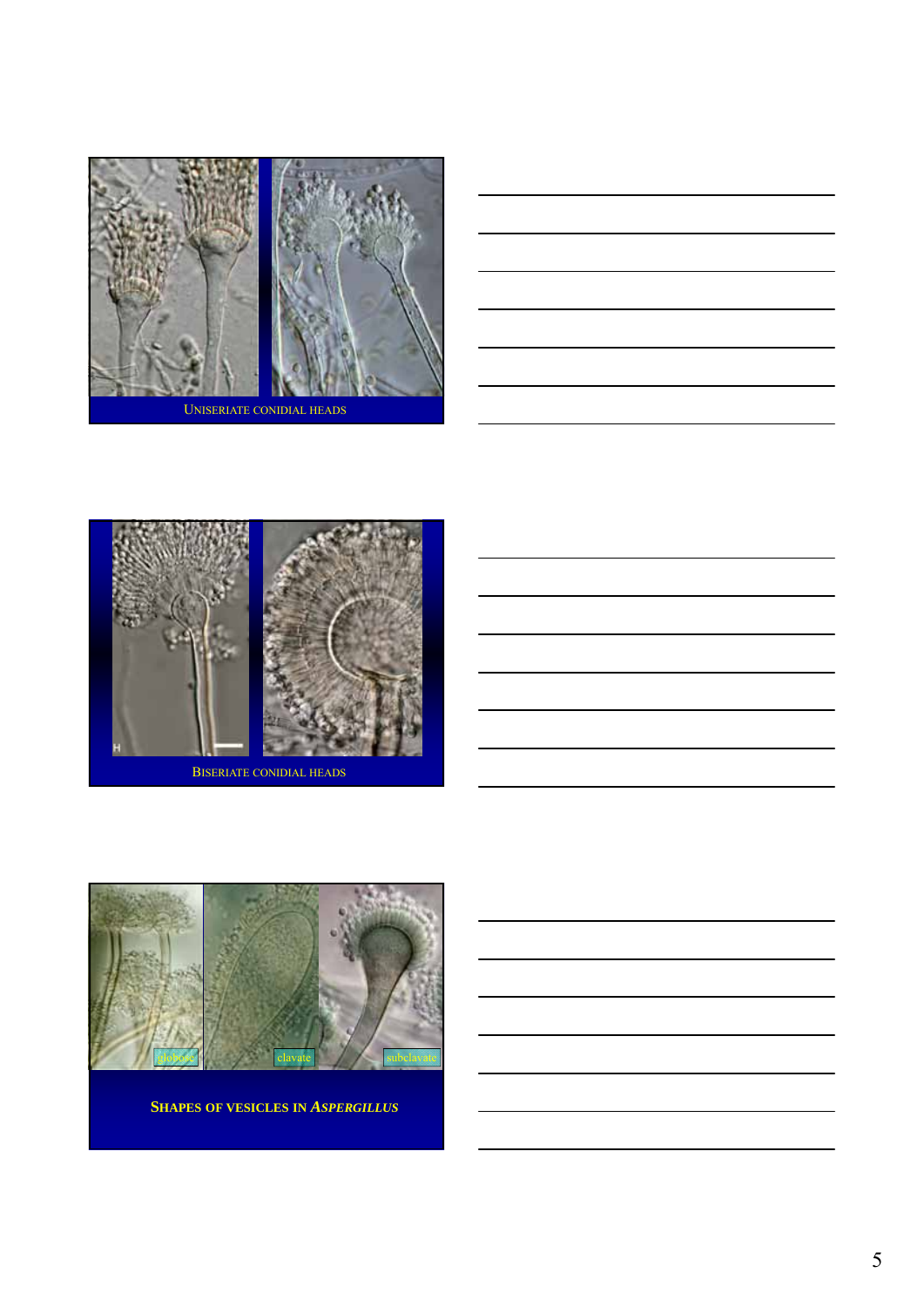





**SHAPES OF VESICLES IN** *ASPERGILLUS*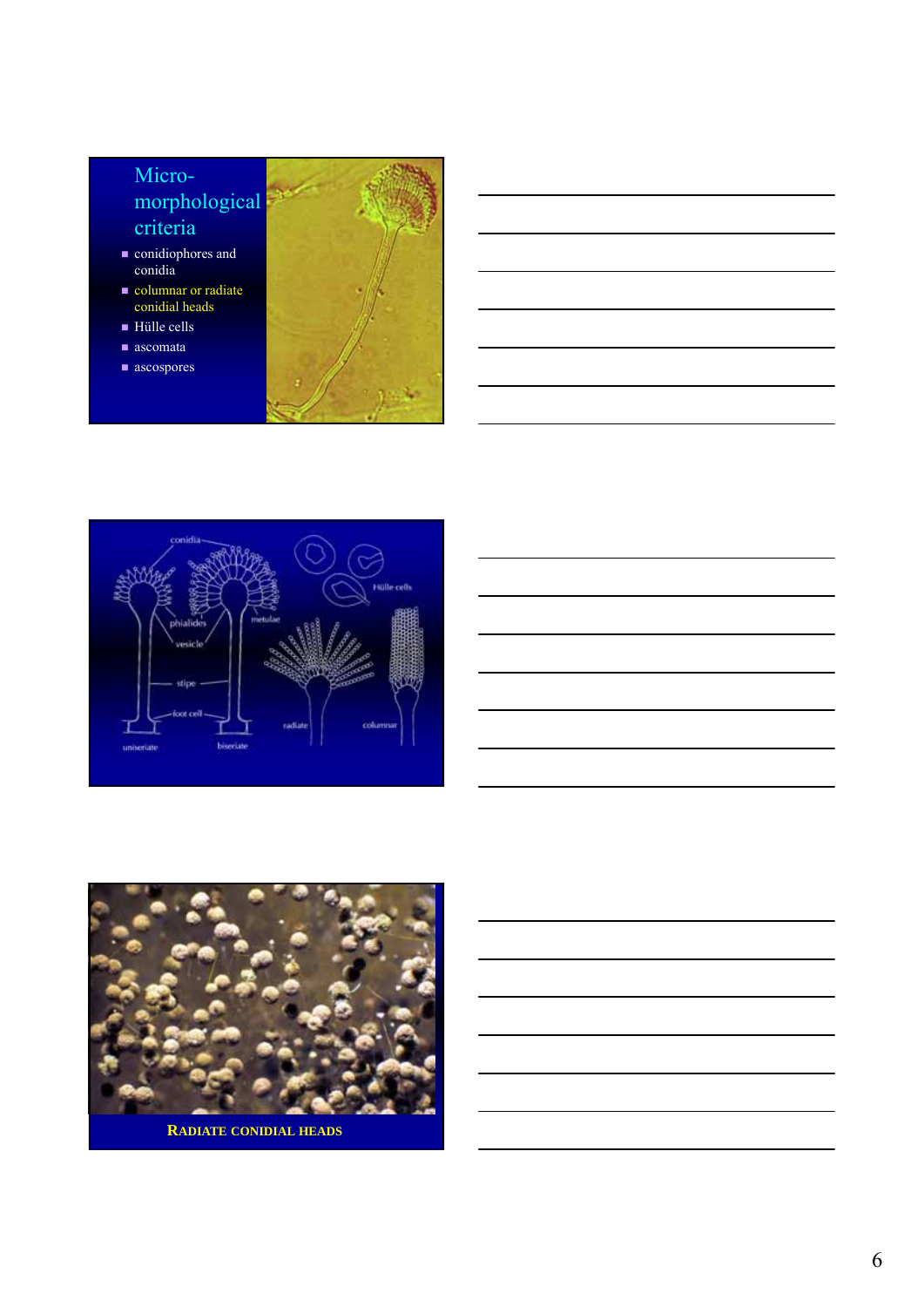- conidiophores and conidia
- columnar or radiate conidial heads
- Hülle cells
- ascomata
- ascospores









**RADIATE CONIDIAL HEADS**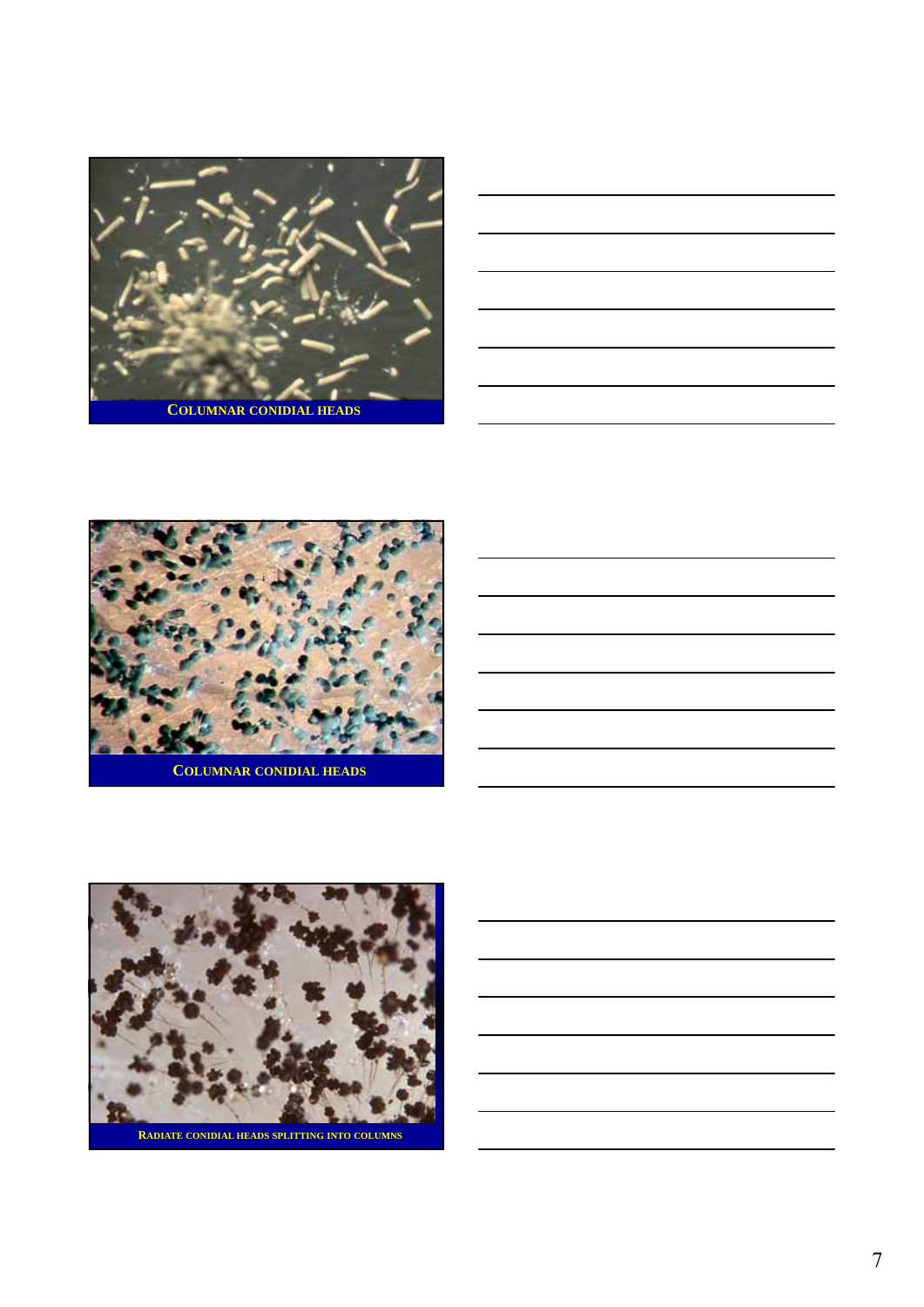

|                                                                                                                       |  | _____                         |
|-----------------------------------------------------------------------------------------------------------------------|--|-------------------------------|
| <u> 1989 - Johann Barbara, martin amerikan basal dan berasal dalam berasal dalam berasal dalam berasal dalam bera</u> |  |                               |
| <u> 1988 - Andrea Andrew Maria (h. 1988).</u>                                                                         |  |                               |
| <u> 1989 - Jan Samuel Barbara, martin da shekara ta 1989 - Andrea Samuel Barbara, marka a shekara ta 1989 - Andre</u> |  | the control of the control of |
| <u> 1989 - Johann Stoff, deutscher Stoff, der Stoff, der Stoff, der Stoff, der Stoff, der Stoff, der Stoff, der S</u> |  |                               |
|                                                                                                                       |  |                               |



**COLUMNAR CONIDIAL HEADS**

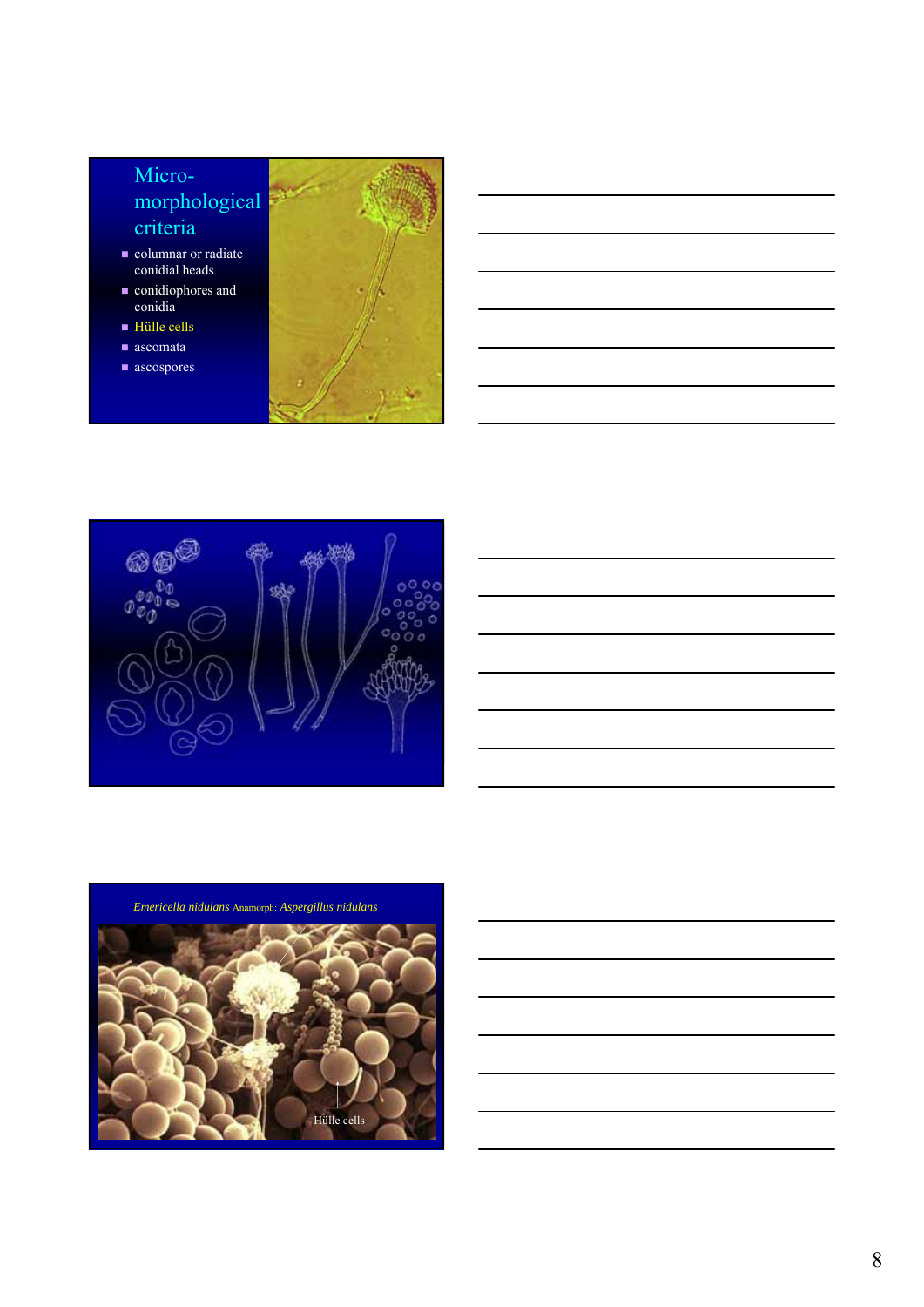- columnar or radiate conidial heads
- **conidiophores** and conidia
- Hülle cells
- ascomata
- ascospores





*Emericella nidulans* Anamorph: *Aspergillus nidulans*

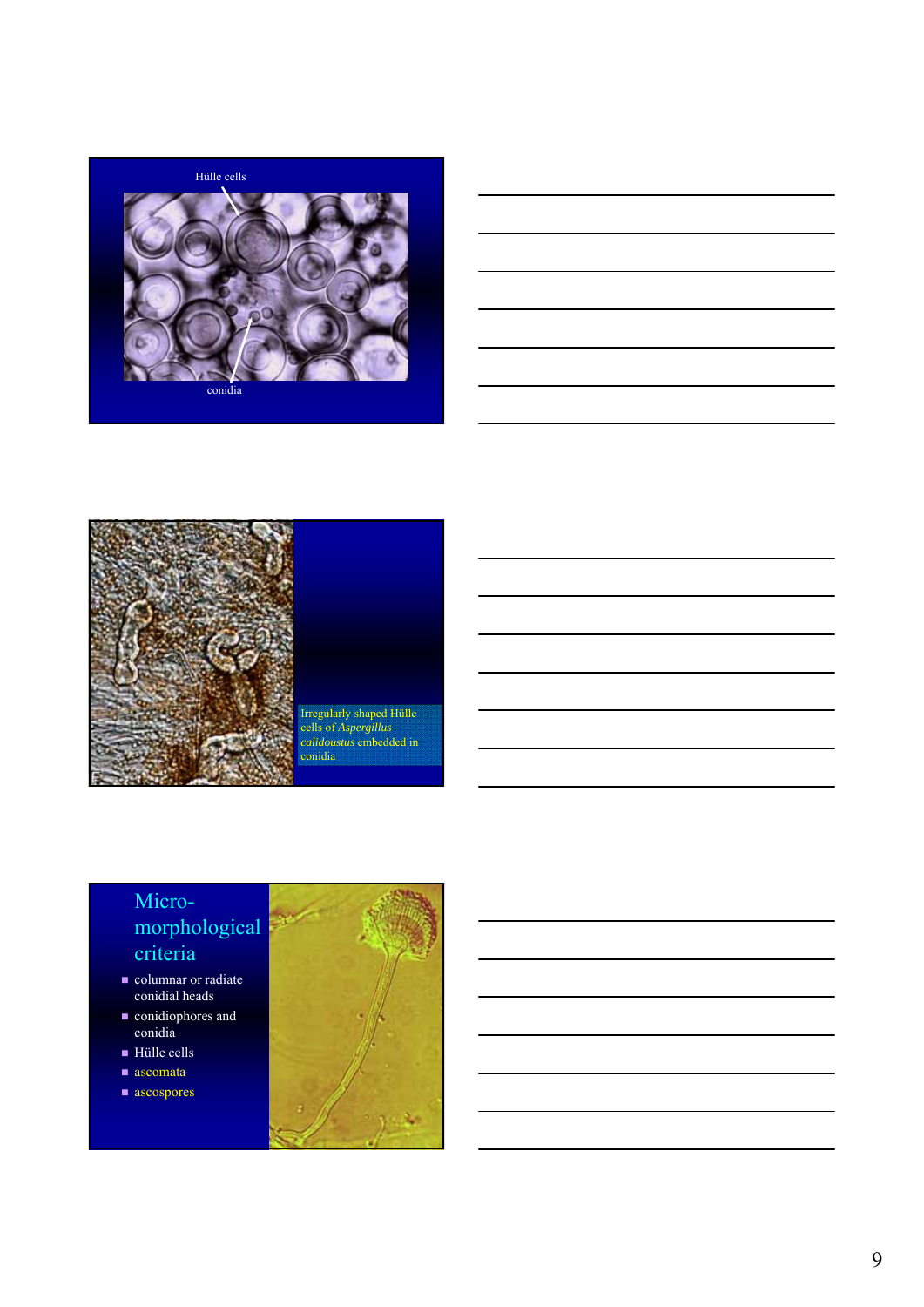



|                                                                 | <u> 1989 - Johann Barn, amerikan bernama di sebagai bernama dan bernama di sebagai bernama di sebagai bernama di</u>   |  |
|-----------------------------------------------------------------|------------------------------------------------------------------------------------------------------------------------|--|
|                                                                 |                                                                                                                        |  |
|                                                                 | <u> 1989 - Johann Barn, mars ann an t-Amhain ann an t-Amhain ann an t-Amhain ann an t-Amhain an t-Amhain ann an t-</u> |  |
|                                                                 |                                                                                                                        |  |
| the contract of the contract of the contract of the contract of |                                                                                                                        |  |
|                                                                 |                                                                                                                        |  |



Irregularly shaped Hülle cells of *Aspergillus calidoustus* embedded in conidia

- columnar or radiate conidial heads
- conidiophores and conidia
- Hülle cells
- $\blacksquare$  ascomata
- ascospores

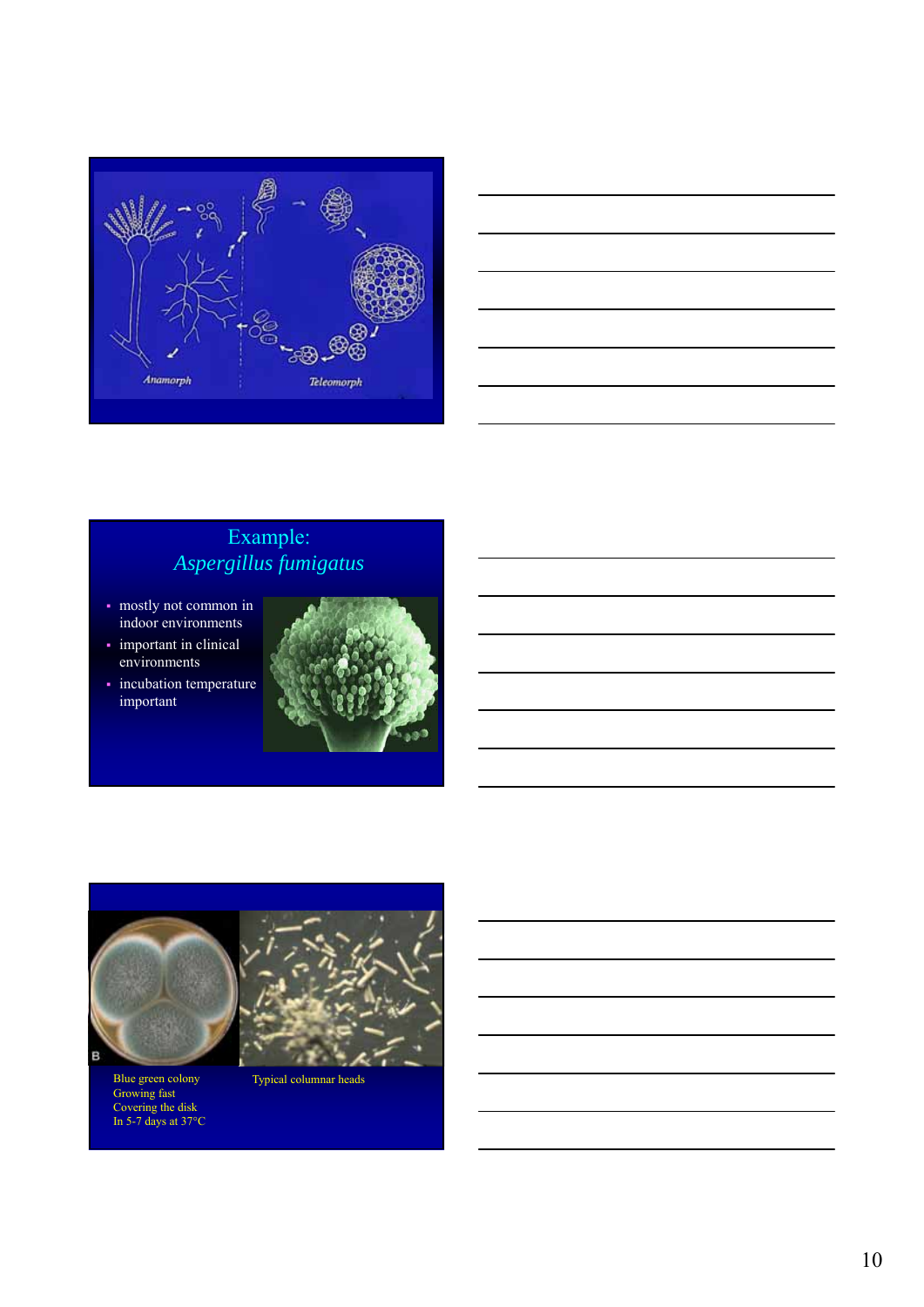



# Example: *Aspergillus fumigatus*

- mostly not common in indoor environments
- important in clinical environments
- incubation temperature important





Blue green colony Growing fast Covering the disk In 5-7 days at 37°C Typical columnar heads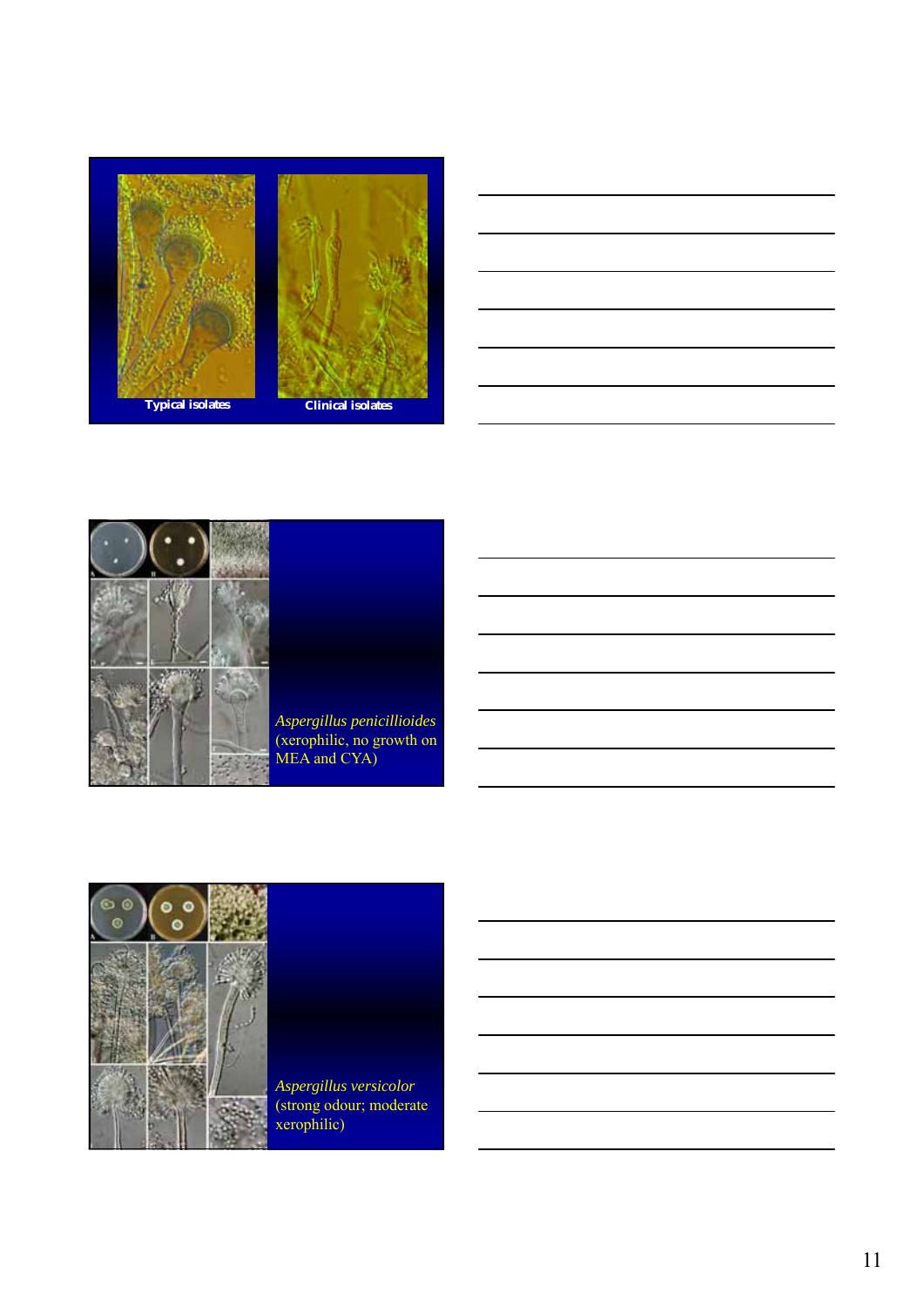





*Aspergillus penicillioides* (xerophilic, no growth on MEA and CYA)



*Aspergillus versicolor*  (strong odour; moderate xerophilic)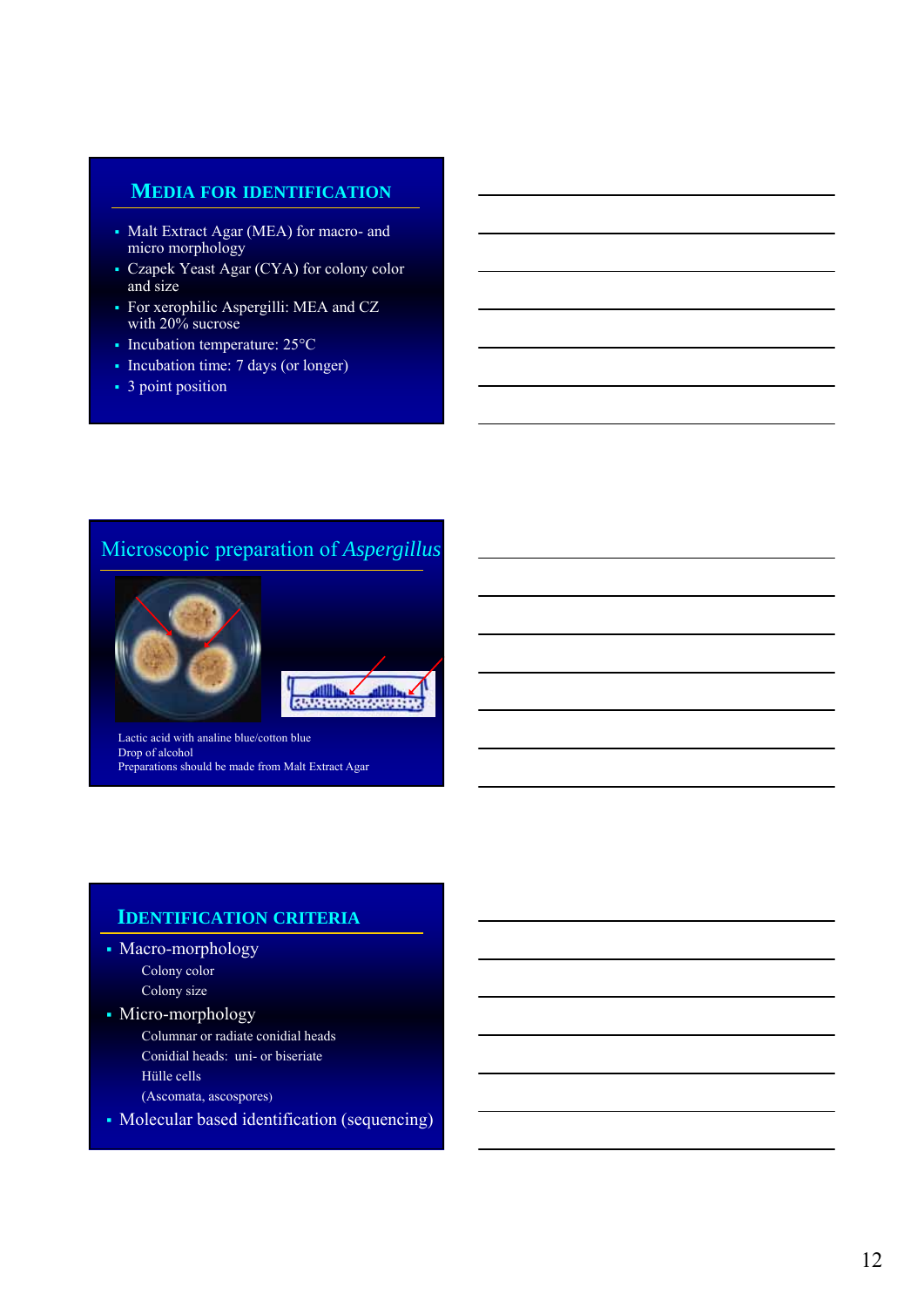#### **MEDIA FOR IDENTIFICATION**

- Malt Extract Agar (MEA) for macro- and micro morphology
- Czapek Yeast Agar (CYA) for colony color and size
- For xerophilic Aspergilli: MEA and CZ with 20% sucrose
- $\blacksquare$  Incubation temperature: 25 $\rm ^{\circ}C$
- Incubation time: 7 days (or longer)
- 3 point position

#### Microscopic preparation of *Aspergillus*





Lactic acid with analine blue/cotton blue Drop of alcohol Preparations should be made from Malt Extract Agar

#### **IDENTIFICATION CRITERIA**

- Macro-morphology Colony color Colony size
- Micro-morphology
	- Columnar or radiate conidial heads Conidial heads: uni- or biseriate
	- Hülle cells
	- (Ascomata, ascospores)
- Molecular based identification (sequencing)